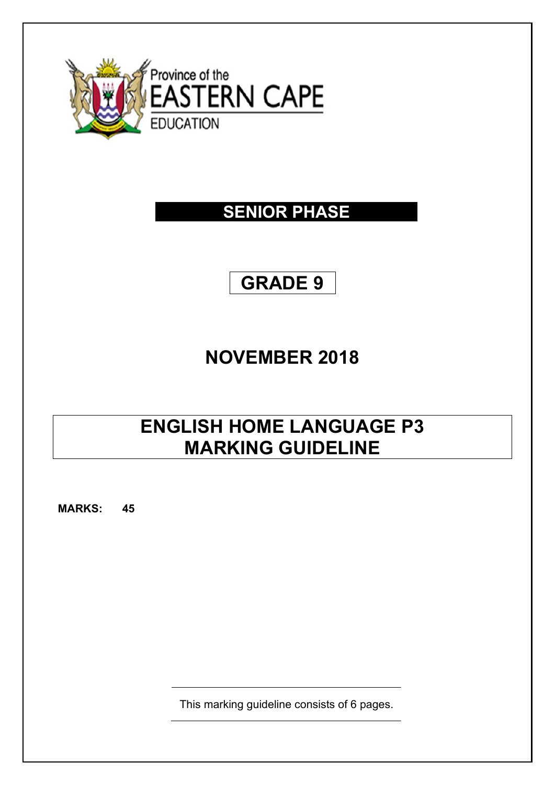

## **SENIOR PHASE**

# **GRADE 9**

# **NOVEMBER 2018**

# **ENGLISH HOME LANGUAGE P3 MARKING GUIDELINE**

**MARKS: 45**

This marking guideline consists of 6 pages.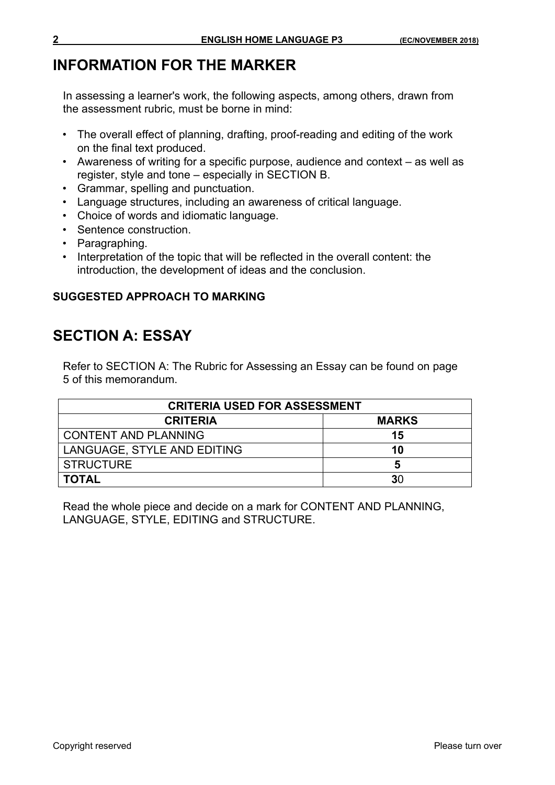### **INFORMATION FOR THE MARKER**

In assessing a learner's work, the following aspects, among others, drawn from the assessment rubric, must be borne in mind:

- The overall effect of planning, drafting, proof-reading and editing of the work on the final text produced.
- Awareness of writing for a specific purpose, audience and context as well as register, style and tone – especially in SECTION B.
- Grammar, spelling and punctuation.
- Language structures, including an awareness of critical language.
- Choice of words and idiomatic language.
- Sentence construction.
- Paragraphing.
- Interpretation of the topic that will be reflected in the overall content: the introduction, the development of ideas and the conclusion.

#### **SUGGESTED APPROACH TO MARKING**

### **SECTION A: ESSAY**

Refer to SECTION A: The Rubric for Assessing an Essay can be found on page 5 of this memorandum.

| <b>CRITERIA USED FOR ASSESSMENT</b> |              |  |  |  |  |
|-------------------------------------|--------------|--|--|--|--|
| <b>CRITERIA</b>                     | <b>MARKS</b> |  |  |  |  |
| <b>CONTENT AND PLANNING</b>         | 15           |  |  |  |  |
| LANGUAGE, STYLE AND EDITING         | 10           |  |  |  |  |
| <b>STRUCTURE</b>                    |              |  |  |  |  |
| <b>TOTAL</b>                        | 30           |  |  |  |  |

Read the whole piece and decide on a mark for CONTENT AND PLANNING, LANGUAGE, STYLE, EDITING and STRUCTURE.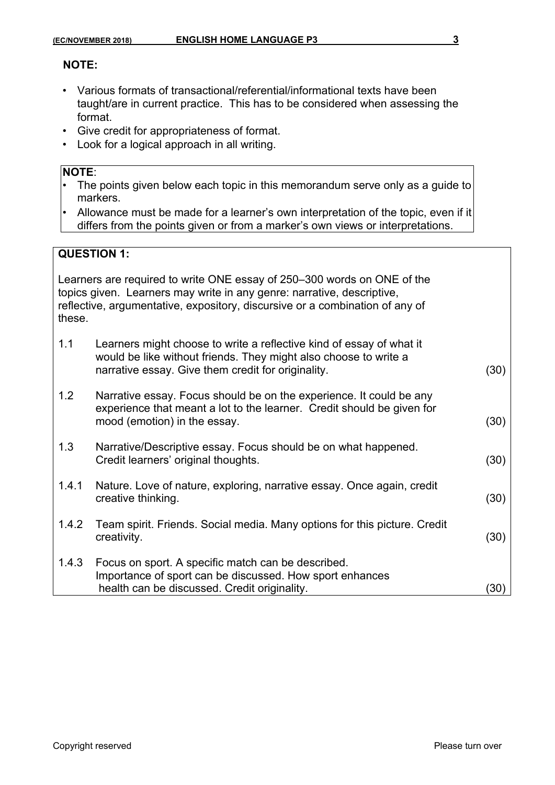#### **NOTE:**

- Various formats of transactional/referential/informational texts have been taught/are in current practice. This has to be considered when assessing the format.
- Give credit for appropriateness of format.
- Look for a logical approach in all writing.

#### **NOTE**:

- The points given below each topic in this memorandum serve only as a guide to markers.
- Allowance must be made for a learner's own interpretation of the topic, even if it differs from the points given or from a marker's own views or interpretations.

#### **QUESTION 1:**

Learners are required to write ONE essay of 250–300 words on ONE of the topics given. Learners may write in any genre: narrative, descriptive, reflective, argumentative, expository, discursive or a combination of any of these.

| these. |                                                                                                                                                                                                |                   |
|--------|------------------------------------------------------------------------------------------------------------------------------------------------------------------------------------------------|-------------------|
| 1.1    | Learners might choose to write a reflective kind of essay of what it<br>would be like without friends. They might also choose to write a<br>narrative essay. Give them credit for originality. | (30)              |
| 1.2    | Narrative essay. Focus should be on the experience. It could be any<br>experience that meant a lot to the learner. Credit should be given for<br>mood (emotion) in the essay.                  | (30)              |
| 1.3    | Narrative/Descriptive essay. Focus should be on what happened.<br>Credit learners' original thoughts.                                                                                          | (30)              |
| 1.4.1  | Nature. Love of nature, exploring, narrative essay. Once again, credit<br>creative thinking.                                                                                                   | (30)              |
| 1.4.2  | Team spirit. Friends. Social media. Many options for this picture. Credit<br>creativity.                                                                                                       | (30)              |
| 1.4.3  | Focus on sport. A specific match can be described.<br>Importance of sport can be discussed. How sport enhances<br>health can be discussed. Credit originality.                                 | $\left(30\right)$ |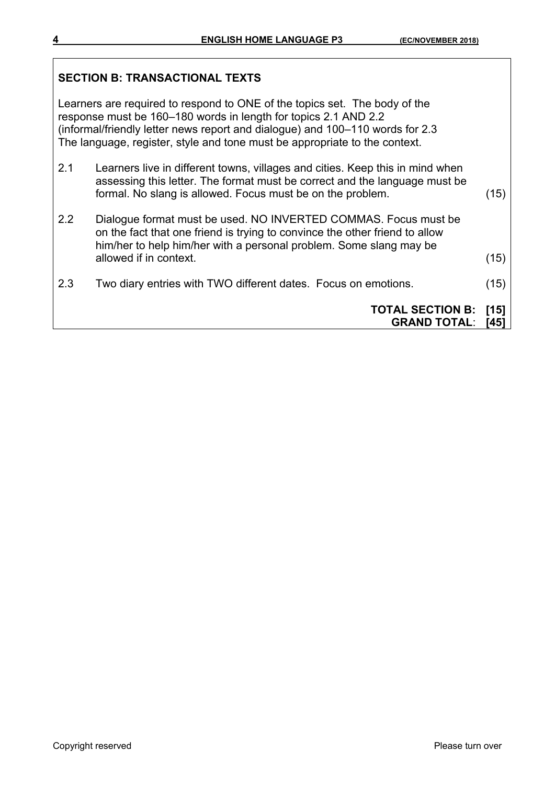## **SECTION B: TRANSACTIONAL TEXTS**  Learners are required to respond to ONE of the topics set. The body of the response must be 160–180 words in length for topics 2.1 AND 2.2 (informal/friendly letter news report and dialogue) and 100–110 words for 2.3 The language, register, style and tone must be appropriate to the context. 2.1 Learners live in different towns, villages and cities. Keep this in mind when assessing this letter. The format must be correct and the language must be formal. No slang is allowed. Focus must be on the problem. (15) 2.2 Dialogue format must be used. NO INVERTED COMMAS. Focus must be on the fact that one friend is trying to convince the other friend to allow him/her to help him/her with a personal problem. Some slang may be allowed if in context. (15) 2.3 Two diary entries with TWO different dates. Focus on emotions. (15) **TOTAL SECTION B: [15] GRAND TOTAL**: **[45]**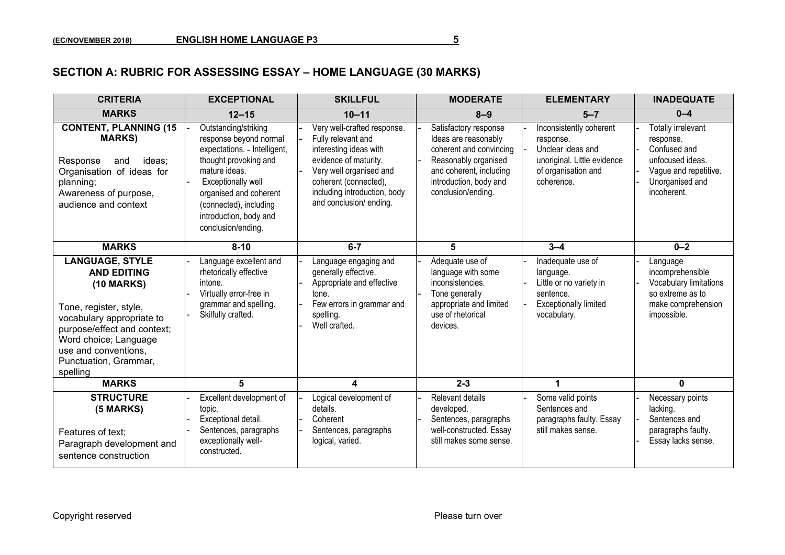### **SECTION A: RUBRIC FOR ASSESSING ESSAY – HOME LANGUAGE (30 MARKS)**

| <b>CRITERIA</b>                                                                                                                                                                                                                               | <b>EXCEPTIONAL</b>                                                                                                                                                                                                                                 | <b>SKILLFUL</b>                                                                                                                                                                                                     | <b>MODERATE</b>                                                                                                                                                             | <b>ELEMENTARY</b>                                                                                                             | <b>INADEQUATE</b>                                                                                                              |
|-----------------------------------------------------------------------------------------------------------------------------------------------------------------------------------------------------------------------------------------------|----------------------------------------------------------------------------------------------------------------------------------------------------------------------------------------------------------------------------------------------------|---------------------------------------------------------------------------------------------------------------------------------------------------------------------------------------------------------------------|-----------------------------------------------------------------------------------------------------------------------------------------------------------------------------|-------------------------------------------------------------------------------------------------------------------------------|--------------------------------------------------------------------------------------------------------------------------------|
| <b>MARKS</b>                                                                                                                                                                                                                                  | $12 - 15$                                                                                                                                                                                                                                          | $10 - 11$                                                                                                                                                                                                           | $8 - 9$                                                                                                                                                                     | $5 - 7$                                                                                                                       | $0 - 4$                                                                                                                        |
| <b>CONTENT, PLANNING (15</b><br><b>MARKS)</b><br>Response<br>ideas:<br>and<br>Organisation of ideas for<br>planning;<br>Awareness of purpose,<br>audience and context                                                                         | Outstanding/striking<br>response beyond normal<br>expectations. - Intelligent,<br>thought provoking and<br>mature ideas.<br>Exceptionally well<br>organised and coherent<br>(connected), including<br>introduction, body and<br>conclusion/ending. | Very well-crafted response.<br>Fully relevant and<br>interesting ideas with<br>evidence of maturity.<br>Very well organised and<br>coherent (connected),<br>including introduction, body<br>and conclusion/ ending. | Satisfactory response<br>Ideas are reasonably<br>coherent and convincing<br>Reasonably organised<br>and coherent, including<br>introduction, body and<br>conclusion/ending. | Inconsistently coherent<br>response.<br>Unclear ideas and<br>unoriginal. Little evidence<br>of organisation and<br>coherence. | Totally irrelevant<br>response.<br>Confused and<br>unfocused ideas.<br>Vague and repetitive.<br>Unorganised and<br>incoherent. |
| <b>MARKS</b>                                                                                                                                                                                                                                  | $8 - 10$                                                                                                                                                                                                                                           | $6 - 7$                                                                                                                                                                                                             | 5                                                                                                                                                                           | $3 - 4$                                                                                                                       | $0 - 2$                                                                                                                        |
| <b>LANGUAGE, STYLE</b><br><b>AND EDITING</b><br><b>(10 MARKS)</b><br>Tone, register, style,<br>vocabulary appropriate to<br>purpose/effect and context;<br>Word choice; Language<br>use and conventions.<br>Punctuation, Grammar,<br>spelling | Language excellent and<br>rhetorically effective<br>intone.<br>Virtually error-free in<br>grammar and spelling.<br>Skilfully crafted.                                                                                                              | Language engaging and<br>generally effective.<br>Appropriate and effective<br>tone.<br>Few errors in grammar and<br>spelling.<br>Well crafted.                                                                      | Adequate use of<br>language with some<br>inconsistencies.<br>Tone generally<br>appropriate and limited<br>use of rhetorical<br>devices.                                     | Inadequate use of<br>language.<br>Little or no variety in<br>sentence.<br><b>Exceptionally limited</b><br>vocabulary.         | Language<br>incomprehensible<br>Vocabulary limitations<br>so extreme as to<br>make comprehension<br>impossible.                |
| <b>MARKS</b>                                                                                                                                                                                                                                  | 5                                                                                                                                                                                                                                                  | 4                                                                                                                                                                                                                   | $2 - 3$                                                                                                                                                                     | 1                                                                                                                             | 0                                                                                                                              |
| <b>STRUCTURE</b><br>(5 MARKS)<br>Features of text:<br>Paragraph development and<br>sentence construction                                                                                                                                      | Excellent development of<br>topic.<br>Exceptional detail.<br>Sentences, paragraphs<br>exceptionally well-<br>constructed.                                                                                                                          | Logical development of<br>details.<br>Coherent<br>Sentences, paragraphs<br>logical, varied.                                                                                                                         | Relevant details<br>developed.<br>Sentences, paragraphs<br>well-constructed. Essay<br>still makes some sense.                                                               | Some valid points<br>Sentences and<br>paragraphs faulty. Essay<br>still makes sense.                                          | Necessary points<br>lacking.<br>Sentences and<br>paragraphs faulty.<br>Essay lacks sense.                                      |